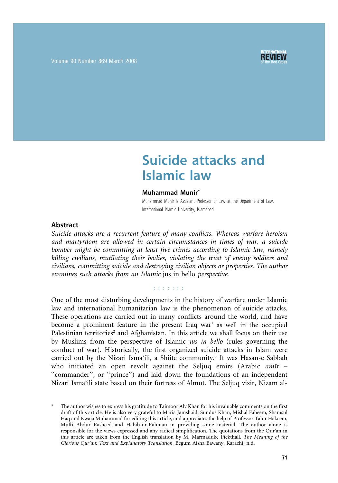

# Suicide attacks and Islamic law

#### Muhammad Munir\*

Muhammad Munir is Assistant Professor of Law at the Department of Law, International Islamic University, Islamabad.

## Abstract

Suicide attacks are a recurrent feature of many conflicts. Whereas warfare heroism and martyrdom are allowed in certain circumstances in times of war, a suicide bomber might be committing at least five crimes according to Islamic law, namely killing civilians, mutilating their bodies, violating the trust of enemy soldiers and civilians, committing suicide and destroying civilian objects or properties. The author examines such attacks from an Islamic jus in bello perspective.

### **Editoria**

One of the most disturbing developments in the history of warfare under Islamic law and international humanitarian law is the phenomenon of suicide attacks. These operations are carried out in many conflicts around the world, and have become a prominent feature in the present Iraq war<sup>1</sup> as well in the occupied Palestinian territories<sup>2</sup> and Afghanistan. In this article we shall focus on their use by Muslims from the perspective of Islamic jus in bello (rules governing the conduct of war). Historically, the first organized suicide attacks in Islam were carried out by the Nizari Isma'ili, a Shiite community.<sup>3</sup> It was Hasan-e Sabbah who initiated an open revolt against the Seljuq emirs (Arabic  $am\bar{t}$  – ''commander'', or ''prince'') and laid down the foundations of an independent Nizari Isma'ili state based on their fortress of Almut. The Seljuq vizir, Nizam al-

<sup>\*</sup> The author wishes to express his gratitude to Taimoor Aly Khan for his invaluable comments on the first draft of this article. He is also very grateful to Maria Jamshaid, Sundus Khan, Mishal Faheem, Shamsul Haq and Kwaja Muhammad for editing this article, and appreciates the help of Professor Tahir Hakeem, Mufti Abdur Rasheed and Habib-ur-Rahman in providing some material. The author alone is responsible for the views expressed and any radical simplification. The quotations from the Qur'an in this article are taken from the English translation by M. Marmaduke Pickthall, The Meaning of the Glorious Qur'an: Text and Explanatory Translation, Begum Aisha Bawany, Karachi, n.d.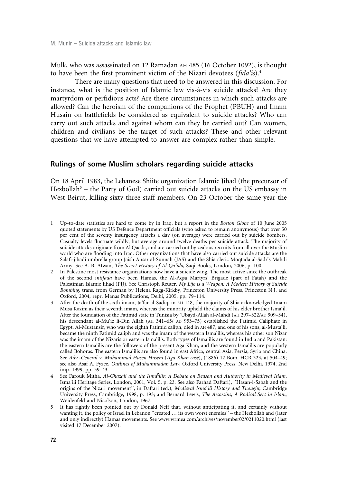Mulk, who was assassinated on 12 Ramadan AH 485 (16 October 1092), is thought to have been the first prominent victim of the Nizari devotees (fida'is).<sup>4</sup>

There are many questions that need to be answered in this discussion. For instance, what is the position of Islamic law vis-à-vis suicide attacks? Are they martyrdom or perfidious acts? Are there circumstances in which such attacks are allowed? Can the heroism of the companions of the Prophet (PBUH) and Imam Husain on battlefields be considered as equivalent to suicide attacks? Who can carry out such attacks and against whom can they be carried out? Can women, children and civilians be the target of such attacks? These and other relevant questions that we have attempted to answer are complex rather than simple.

## Rulings of some Muslim scholars regarding suicide attacks

On 18 April 1983, the Lebanese Shiite organization Islamic Jihad (the precursor of Hezbollah<sup>5</sup> – the Party of God) carried out suicide attacks on the US embassy in West Beirut, killing sixty-three staff members. On 23 October the same year the

- 1 Up-to-date statistics are hard to come by in Iraq, but a report in the Boston Globe of 10 June 2005 quoted statements by US Defence Department officials (who asked to remain anonymous) that over 50 per cent of the seventy insurgency attacks a day (on average) were carried out by suicide bombers. Casualty levels fluctuate wildly, but average around twelve deaths per suicide attack. The majority of suicide attacks originate from Al Qaeda, and are carried out by zealous recruits from all over the Muslim world who are flooding into Iraq. Other organizations that have also carried out suicide attacks are the Salafi-jihadi umbrella group Jaish Ansar al-Sunnah (JAS) and the Shia cleric Moqtada al-Sadr's Mahdi Army. See A. B. Atwan, The Secret History of Al-Qa'ida, Saqi Books, London, 2006, p. 100.
- 2 In Palestine most resistance organizations now have a suicide wing. The most active since the outbreak of the second intifada have been Hamas, the Al-Aqsa Martyrs' Brigade (part of Fatah) and the Palestinian Islamic Jihad (PIJ). See Christoph Reuter, My Life is a Weapon: A Modern History of Suicide Bombing, trans. from German by Helena Ragg-Kirkby, Princeton University Press, Princeton N.J. and Oxford, 2004, repr. Manas Publications, Delhi, 2005, pp. 79–114.
- 3 After the death of the sixth imam, Ja'far al-Sadiq, in AH 148, the majority of Shia acknowledged Imam Musa Kazim as their seventh imam, whereas the minority upheld the claims of his elder brother Isma'il. After the foundation of the Fatimid state in Tunisia by 'Ubayd-Allah al-Mahdi (AH 297–322/AD 909–34), his descendant al-Mu'iz li-Din Allah (AH 341–65/ AD 953–75) established the Fatimid Caliphate in Egypt. Al-Mustansir, who was the eighth Fatimid caliph, died in AH 487, and one of his sons, al-Musta'li, became the ninth Fatimid caliph and was the imam of the western Isma'ilis, whereas his other son Nizar was the imam of the Nizaris or eastern Isma'ilis. Both types of Isma'ilis are found in India and Pakistan: the eastern Isma'ilis are the followers of the present Aga Khan, and the western Isma'ilis are popularly called Bohoras. The eastern Isma'ilis are also found in east Africa, central Asia, Persia, Syria and China. See Adv.-General v. Muhammad Husen Huseni (Aga Khan case), (1886) 12 Bom. HCR 323, at 504–49; see also Asaf A. Fyzee, Outlines of Muhammadan Law, Oxford University Press, New Delhi, 1974, 2nd imp. 1999, pp. 39–43.
- 4 See Farouk Mitha, Al-Ghazali and the Isma<sup>c</sup>ilis: A Debate on Reason and Authority in Medieval Islam, Isma'ili Heritage Series, London, 2001, Vol. 5, p. 23. See also Farhad Daftari), ''Hasan-i-Sabah and the origins of the Nizari movement'', in Daftari (ed.), Medieval Isma'ili History and Thought, Cambridge University Press, Cambridge, 1998, p. 193; and Bernard Lewis, The Assassins, A Radical Sect in Islam, Weidenfeld and Nicolson, London, 1967.
- 5 It has rightly been pointed out by Donald Neff that, without anticipating it, and certainly without wanting it, the policy of Israel in Lebanon "created ... its own worst enemies" - the Hezbollah and (later and only indirectly) Hamas movements. See www.wrmea.com/archives/november02/0211020.html (last visited 17 December 2007).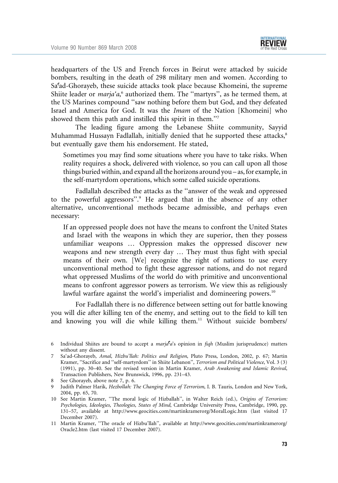headquarters of the US and French forces in Beirut were attacked by suicide bombers, resulting in the death of 298 military men and women. According to Sa'ad-Ghorayeb, these suicide attacks took place because Khomeini, the supreme Shiite leader or *marja'a*,<sup>6</sup> authorized them. The "martyrs", as he termed them, at the US Marines compound ''saw nothing before them but God, and they defeated Israel and America for God. It was the Imam of the Nation [Khomeini] who showed them this path and instilled this spirit in them.''7

The leading figure among the Lebanese Shiite community, Sayyid Muhammad Hussayn Fadlallah, initially denied that he supported these attacks,<sup>8</sup> but eventually gave them his endorsement. He stated,

Sometimes you may find some situations where you have to take risks. When reality requires a shock, delivered with violence, so you can call upon all those things buried within, and expand all the horizons around you – as, for example, in the self-martyrdom operations, which some called suicide operations.

Fadlallah described the attacks as the ''answer of the weak and oppressed to the powerful aggressors''.9 He argued that in the absence of any other alternative, unconventional methods became admissible, and perhaps even necessary:

If an oppressed people does not have the means to confront the United States and Israel with the weapons in which they are superior, then they possess unfamiliar weapons … Oppression makes the oppressed discover new weapons and new strength every day … They must thus fight with special means of their own. [We] recognize the right of nations to use every unconventional method to fight these aggressor nations, and do not regard what oppressed Muslims of the world do with primitive and unconventional means to confront aggressor powers as terrorism. We view this as religiously lawful warfare against the world's imperialist and domineering powers.<sup>10</sup>

For Fadlallah there is no difference between setting out for battle knowing you will die after killing ten of the enemy, and setting out to the field to kill ten and knowing you will die while killing them.11 Without suicide bombers/

<sup>6</sup> Individual Shiites are bound to accept a marja  $a'$ 's opinion in fiqh (Muslim jurisprudence) matters without any dissent.

<sup>7</sup> Sa'ad-Ghorayeb, Amal, Hizbu'llah: Politics and Religion, Pluto Press, London, 2002, p. 67; Martin Kramer, ''Sacrifice and ''self-martyrdom'' in Shiite Lebanon'', Terrorism and Political Violence, Vol. 3 (3) (1991), pp. 30–40. See the revised version in Martin Kramer, Arab Awakening and Islamic Revival, Transaction Publishers, New Brunswick, 1996, pp. 231–43.

<sup>8</sup> See Ghorayeb, above note 7, p. 6.

<sup>9</sup> Judith Palmer Harik, Hezbollah: The Changing Force of Terrorism, I. B. Tauris, London and New York, 2004, pp. 65, 70.

<sup>10</sup> See Martin Kramer, ''The moral logic of Hizballah'', in Walter Reich (ed.), Origins of Terrorism: Psychologies, Ideologies, Theologies, States of Mind, Cambridge University Press, Cambridge, 1990, pp. 131–57, available at http://www.geocities.com/martinkramerorg/MoralLogic.htm (last visited 17 December 2007).

<sup>11</sup> Martin Kramer, ''The oracle of Hizbu'llah'', available at http://www.geocities.com/martinkramerorg/ Oracle2.htm (last visited 17 December 2007).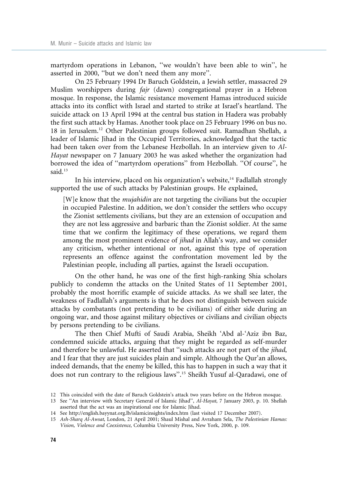martyrdom operations in Lebanon, ''we wouldn't have been able to win'', he asserted in 2000, ''but we don't need them any more''.

On 25 February 1994 Dr Baruch Goldstein, a Jewish settler, massacred 29 Muslim worshippers during fajr (dawn) congregational prayer in a Hebron mosque. In response, the Islamic resistance movement Hamas introduced suicide attacks into its conflict with Israel and started to strike at Israel's heartland. The suicide attack on 13 April 1994 at the central bus station in Hadera was probably the first such attack by Hamas. Another took place on 25 February 1996 on bus no. 18 in Jerusalem.12 Other Palestinian groups followed suit. Ramadhan Shellah, a leader of Islamic Jihad in the Occupied Territories, acknowledged that the tactic had been taken over from the Lebanese Hezbollah. In an interview given to Al-Hayat newspaper on 7 January 2003 he was asked whether the organization had borrowed the idea of ''martyrdom operations'' from Hezbollah. ''Of course'', he said $13$ 

In his interview, placed on his organization's website, $14$  Fadlallah strongly supported the use of such attacks by Palestinian groups. He explained,

[W]e know that the *mujahidin* are not targeting the civilians but the occupier in occupied Palestine. In addition, we don't consider the settlers who occupy the Zionist settlements civilians, but they are an extension of occupation and they are not less aggressive and barbaric than the Zionist soldier. At the same time that we confirm the legitimacy of these operations, we regard them among the most prominent evidence of jihad in Allah's way, and we consider any criticism, whether intentional or not, against this type of operation represents an offence against the confrontation movement led by the Palestinian people, including all parties, against the Israeli occupation.

On the other hand, he was one of the first high-ranking Shia scholars publicly to condemn the attacks on the United States of 11 September 2001, probably the most horrific example of suicide attacks. As we shall see later, the weakness of Fadlallah's arguments is that he does not distinguish between suicide attacks by combatants (not pretending to be civilians) of either side during an ongoing war, and those against military objectives or civilians and civilian objects by persons pretending to be civilians.

The then Chief Mufti of Saudi Arabia, Sheikh 'Abd al-'Aziz ibn Baz, condemned suicide attacks, arguing that they might be regarded as self-murder and therefore be unlawful. He asserted that ''such attacks are not part of the jihad, and I fear that they are just suicides plain and simple. Although the Qur'an allows, indeed demands, that the enemy be killed, this has to happen in such a way that it does not run contrary to the religious laws''.15 Sheikh Yusuf al-Qaradawi, one of

<sup>12</sup> This coincided with the date of Baruch Goldstein's attack two years before on the Hebron mosque.

<sup>13</sup> See ''An interview with Secretary General of Islamic Jihad'', Al-Hayat, 7 January 2003, p. 10. Shellah asserted that the act was an inspirational one for Islamic Jihad.

<sup>14</sup> See http://english.bayynat.org.lb/islamicinsights/index.htm (last visited 17 December 2007).

<sup>15</sup> Ash-Sharq Al-Awsat, London, 21 April 2001; Shaul Mishal and Avraham Sela, The Palestinian Hamas: Vision, Violence and Coexistence, Columbia University Press, New York, 2000, p. 109.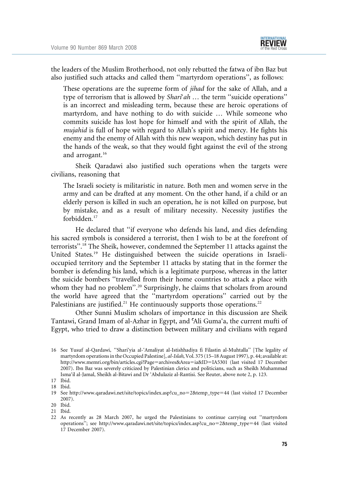the leaders of the Muslim Brotherhood, not only rebutted the fatwa of ibn Baz but also justified such attacks and called them ''martyrdom operations'', as follows:

These operations are the supreme form of jihad for the sake of Allah, and a type of terrorism that is allowed by Shari'ah ... the term "suicide operations" is an incorrect and misleading term, because these are heroic operations of martyrdom, and have nothing to do with suicide … While someone who commits suicide has lost hope for himself and with the spirit of Allah, the mujahid is full of hope with regard to Allah's spirit and mercy. He fights his enemy and the enemy of Allah with this new weapon, which destiny has put in the hands of the weak, so that they would fight against the evil of the strong and arrogant.<sup>16</sup>

Sheik Qaradawi also justified such operations when the targets were civilians, reasoning that

The Israeli society is militaristic in nature. Both men and women serve in the army and can be drafted at any moment. On the other hand, if a child or an elderly person is killed in such an operation, he is not killed on purpose, but by mistake, and as a result of military necessity. Necessity justifies the forbidden.17

He declared that ''if everyone who defends his land, and dies defending his sacred symbols is considered a terrorist, then I wish to be at the forefront of terrorists''.18 The Sheik, however, condemned the September 11 attacks against the United States.19 He distinguished between the suicide operations in Israelioccupied territory and the September 11 attacks by stating that in the former the bomber is defending his land, which is a legitimate purpose, whereas in the latter the suicide bombers ''travelled from their home countries to attack a place with whom they had no problem".<sup>20</sup> Surprisingly, he claims that scholars from around the world have agreed that the ''martyrdom operations'' carried out by the Palestinians are justified.<sup>21</sup> He continuously supports those operations.<sup>22</sup>

Other Sunni Muslim scholars of importance in this discussion are Sheik Tantawi, Grand Imam of al-Azhar in Egypt, and Ali Guma'a, the current mufti of Egypt, who tried to draw a distinction between military and civilians with regard

<sup>16</sup> See Yusuf al-Qardawi, ''Shari'yia al-'Amaliyat al-Istishhadiya fi Filastin al-Muhtalla'' [The legality of martyrdom operations in the Occupied Palestine], al-Islah, Vol. 375 (15–18 August 1997), p. 44; available at: http://www.memri.org/bin/articles.cgi?Page=archives&Area=ia&ID=IA5301 (last visited 17 December 2007). Ibn Baz was severely criticized by Palestinian clerics and politicians, such as Sheikh Muhammad Isma'il al-Jamal, Sheikh al-Bitawi and Dr 'Abdulaziz al-Rantisi. See Reuter, above note 2, p. 123.

<sup>17</sup> Ibid.

<sup>18</sup> Ibid.

<sup>19</sup> See http://www.qaradawi.net/site/topics/index.asp?cu\_no=2&temp\_type=44 (last visited 17 December 2007).

<sup>20</sup> Ibid. 21 Ibid.

<sup>22</sup> As recently as 28 March 2007, he urged the Palestinians to continue carrying out ''martyrdom operations''; see http://www.qaradawi.net/site/topics/index.asp?cu\_no=2&temp\_type=44 (last visited 17 December 2007).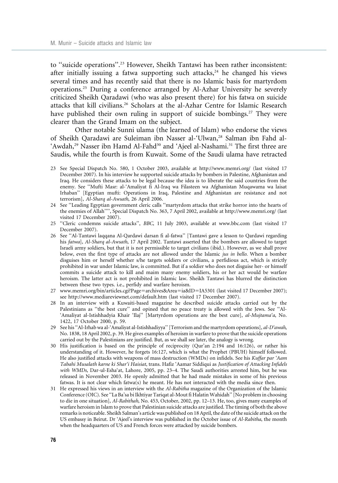to "suicide operations".<sup>23</sup> However, Sheikh Tantawi has been rather inconsistent: after initially issuing a fatwa supporting such attacks, $24$  he changed his views several times and has recently said that there is no Islamic basis for martyrdom operations.25 During a conference arranged by Al-Azhar University he severely criticized Sheikh Qaradawi (who was also present there) for his fatwa on suicide attacks that kill civilians.<sup>26</sup> Scholars at the al-Azhar Centre for Islamic Research have published their own ruling in support of suicide bombings.<sup>27</sup> They were clearer than the Grand Imam on the subject.

Other notable Sunni ulama (the learned of Islam) who endorse the views of Sheikh Qaradawi are Suleiman ibn Nasser al-'Ulwan,<sup>28</sup> Salman ibn Fahd al-'Awdah,<sup>29</sup> Nasser ibn Hamd Al-Fahd<sup>30</sup> and 'Ajeel al-Nashami.<sup>31</sup> The first three are Saudis, while the fourth is from Kuwait. Some of the Saudi ulama have retracted

- 23 See Special Dispatch No. 580, 1 October 2003, available at http://www.memri.org/ (last visited 17 December 2007). In his interview he supported suicide attacks by bombers in Palestine, Afghanistan and Iraq. He considers these attacks to be legal because the idea is to liberate the said countries from the enemy. See ''Mufti Masr: al-'Amaliyat fi Al-Iraq wa Filasteen wa Afghanistan Muqawama wa laisat Irhaban'' [Egyptian mufti: Operations in Iraq, Palestine and Afghanistan are resistance and not terrorism], Al-Sharq al-Awsath, 26 April 2006.
- 24 See ''Leading Egyptian government cleric calls ''martyrdom attacks that strike horror into the hearts of the enemies of Allah'''', Special Dispatch No. 363, 7 April 2002, available at http://www.memri.org/ (last visited 17 December 2007).
- 25 ''Cleric condemns suicide attacks'', BBC, 11 July 2003, available at www.bbc.com (last visited 17 December 2007).
- 26 See ''Al-Tantawi laqqana Al-Qardawi darsan fi al-fatwa'' [Tantawi gave a lesson to Qardawi regarding his fatwa], Al-Sharq al-Awsath, 17 April 2002. Tantawi asserted that the bombers are allowed to target Israeli army soldiers, but that it is not permissible to target civilians (ibid.). However, as we shall prove below, even the first type of attacks are not allowed under the Islamic jus in bello. When a bomber disguises him or herself whether s/he targets soldiers or civilians, a perfidious act, which is strictly prohibited in war under Islamic law, is committed. But if a soldier who does not disguise her- or himself commits a suicide attack to kill and maim many enemy soldiers, his or her act would be warfare heroism. The latter act is not prohibited in Islamic law. Sheikh Tantawi has blurred the distinction between these two types. i.e., perfidy and warfare heroism.
- 27 www.memri.org/bin/articles.cgi?Page=archives&Area=ia&ID=IA5301 (last visited 17 December 2007); see http://www.mediareviewnet.com/default.htm (last visited 17 December 2007).
- 28 In an interview with a Kuwaiti-based magazine he described suicide attacks carried out by the Palestinians as "the best cure" and opined that no peace treaty is allowed with the Jews. See "Al-'Amaliyat al-Istishhadyia Khair 'Ilaj'' [Martyrdom operations are the best cure], al-Mujtama'a, No. 1422, 17 October 2000, p. 59.
- 29 See his "Al-Irhab wa al-'Amaliyat al-Istishhadiyya" [Terrorism and the martyrdom operations], al-D'awah, No. 1838, 18 April 2002, p. 39. He gives examples of heroism in warfare to prove that the suicide operations carried out by the Palestinians are justified. But, as we shall see later, the analogy is wrong.
- 30 His justification is based on the principle of reciprocity (Qur'an 2:194 and 16:126), or rather his understanding of it. However, he forgets 16:127, which is what the Prophet (PBUH) himself followed. He also justified attacks with weapons of mass destruction (WMDs) on infidels. See his Kuffar par 'Aam Tabahi Musalath karne ki Shar'i Haisiat, trans. Hafiz 'Aamar Siddiqui as Justification of Attacking Infidels with WMDs, Dar-ul-Esha'at, Lahore, 2005, pp. 23–4. The Saudi authorities arrested him, but he was released in November 2003. He openly admitted that he had made mistakes in some of his previous fatwas. It is not clear which fatwa(s) he meant. He has not interacted with the media since then.
- 31 He expressed his views in an interview with the Al-Rabitha magazine of the Organization of the Islamic Conference (OIC). See ''La Ba'sa bi Ikhtiyar Tariqat al-Mout fi Halatin Wahidah'' [No problem in choosing to die in one situation], Al-Rabithah, No. 453, October, 2002, pp. 12–13. He, too, gives many examples of warfare heroism in Islam to prove that Palestinian suicide attacks are justified. The timing of both the above remarks is noticeable. Sheikh Salman's article was published on 18 April, the date of the suicide attack on the US embassy in Beirut. Dr 'Ajeel's interview was published in the October issue of Al-Rabitha, the month when the headquarters of US and French forces were attacked by suicide bombers.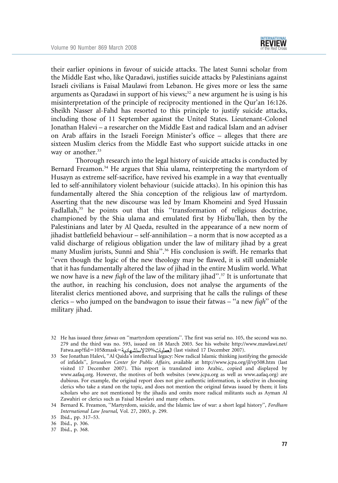

their earlier opinions in favour of suicide attacks. The latest Sunni scholar from the Middle East who, like Qaradawi, justifies suicide attacks by Palestinians against Israeli civilians is Faisal Maulawi from Lebanon. He gives more or less the same arguments as Qaradawi in support of his views; $32$  a new argument he is using is his misinterpretation of the principle of reciprocity mentioned in the Qur'an 16:126. Sheikh Nasser al-Fahd has resorted to this principle to justify suicide attacks, including those of 11 September against the United States. Lieutenant-Colonel Jonathan Halevi – a researcher on the Middle East and radical Islam and an adviser on Arab affairs in the Israeli Foreign Minister's office – alleges that there are sixteen Muslim clerics from the Middle East who support suicide attacks in one way or another.<sup>33</sup>

Thorough research into the legal history of suicide attacks is conducted by Bernard Freamon.<sup>34</sup> He argues that Shia ulama, reinterpreting the martyrdom of Husayn as extreme self-sacrifice, have revived his example in a way that eventually led to self-annihilatory violent behaviour (suicide attacks). In his opinion this has fundamentally altered the Shia conception of the religious law of martyrdom. Asserting that the new discourse was led by Imam Khomeini and Syed Hussain Fadlallah,<sup>35</sup> he points out that this "transformation of religious doctrine, championed by the Shia ulama and emulated first by Hizbu'llah, then by the Palestinians and later by Al Qaeda, resulted in the appearance of a new norm of jihadist battlefield behaviour – self-annihilation – a norm that is now accepted as a valid discharge of religious obligation under the law of military jihad by a great many Muslim jurists, Sunni and Shia".<sup>36</sup> His conclusion is swift. He remarks that "even though the logic of the new theology may be flawed, it is still undeniable that it has fundamentally altered the law of jihad in the entire Muslim world. What we now have is a new fiqh of the law of the military jihad".<sup>37</sup> It is unfortunate that the author, in reaching his conclusion, does not analyse the arguments of the literalist clerics mentioned above, and surprising that he calls the rulings of these clerics – who jumped on the bandwagon to issue their fatwas – ''a new fiqh'' of the military jihad.

36 Ibid., p. 306.

<sup>32</sup> He has issued three fatwas on ''martyrdom operations''. The first was serial no. 105, the second was no. 279 and the third was no. 593, issued on 18 March 2003. See his website http://www.mawlawi.net/ Fatwa.asp?fid5105&mask5 20% (last visited 17 December 2007).

<sup>33</sup> See Jonathan Halevi, ''Al Qaida's intellectual legacy: New radical Islamic thinking justifying the genocide of infidels'', Jerusalem Center for Public Affairs, available at http://www.jcpa.org/jl/vp508.htm (last visited 17 December 2007). This report is translated into Arabic, copied and displayed by www.aafaq.org. However, the motives of both websites (www.jcpa.org as well as www.aafaq.org) are dubious. For example, the original report does not give authentic information, is selective in choosing clerics who take a stand on the topic, and does not mention the original fatwas issued by them; it lists scholars who are not mentioned by the jihadis and omits more radical militants such as Ayman Al Zawahiri or clerics such as Faisal Mawlavi and many others.

<sup>34</sup> Bernard K. Freamon, ''Martyrdom, suicide, and the Islamic law of war: a short legal history'', Fordham International Law Journal, Vol. 27, 2003, p. 299.

<sup>35</sup> Ibid., pp. 317–53.

<sup>37</sup> Ibid., p. 368.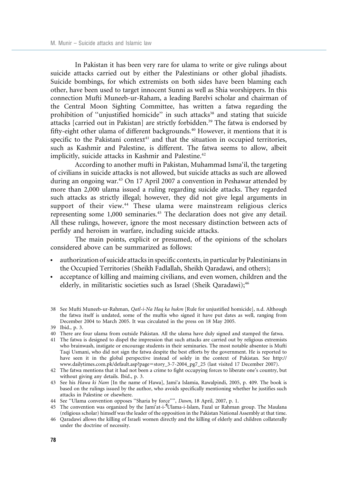In Pakistan it has been very rare for ulama to write or give rulings about suicide attacks carried out by either the Palestinians or other global jihadists. Suicide bombings, for which extremists on both sides have been blaming each other, have been used to target innocent Sunni as well as Shia worshippers. In this connection Mufti Muneeb-ur-Raham, a leading Barelvi scholar and chairman of the Central Moon Sighting Committee, has written a fatwa regarding the prohibition of "unjustified homicide" in such attacks<sup>38</sup> and stating that suicide attacks [carried out in Pakistan] are strictly forbidden.<sup>39</sup> The fatwa is endorsed by fifty-eight other ulama of different backgrounds.<sup>40</sup> However, it mentions that it is specific to the Pakistani context $41$  and that the situation in occupied territories, such as Kashmir and Palestine, is different. The fatwa seems to allow, albeit implicitly, suicide attacks in Kashmir and Palestine.<sup>42</sup>

According to another mufti in Pakistan, Muhammad Isma'il, the targeting of civilians in suicide attacks is not allowed, but suicide attacks as such are allowed during an ongoing war.43 On 17 April 2007 a convention in Peshawar attended by more than 2,000 ulama issued a ruling regarding suicide attacks. They regarded such attacks as strictly illegal; however, they did not give legal arguments in support of their view.<sup>44</sup> These ulama were mainstream religious clerics representing some 1,000 seminaries.45 The declaration does not give any detail. All these rulings, however, ignore the most necessary distinction between acts of perfidy and heroism in warfare, including suicide attacks.

The main points, explicit or presumed, of the opinions of the scholars considered above can be summarized as follows:

- N authorization of suicide attacks in specific contexts, in particular by Palestinians in the Occupied Territories (Sheikh Fadlallah, Sheikh Qaradawi, and others);
- acceptance of killing and maiming civilians, and even women, children and the elderly, in militaristic societies such as Israel (Sheik Qaradawi);<sup>46</sup>
- 38 See Mufti Muneeb-ur-Rahman, Qatl-i-Na Haq ka hukm [Rule for unjustified homicide], n.d. Although the fatwa itself is undated, some of the muftis who signed it have put dates as well, ranging from December 2004 to March 2005. It was circulated in the press on 18 May 2005.

- 41 The fatwa is designed to dispel the impression that such attacks are carried out by religious extremists who brainwash, instigate or encourage students in their seminaries. The most notable absentee is Mufti Taqi Usmani, who did not sign the fatwa despite the best efforts by the government. He is reported to have seen it in the global perspective instead of solely in the context of Pakistan. See http:// www.dailytimes.com.pk/default.asp?page=story\_3-7-2004\_pg7\_25 (last visited 17 December 2007).
- 42 The fatwa mentions that it had not been a crime to fight occupying forces to liberate one's country, but without giving any details. Ibid., p. 3.
- 43 See his Hawa ki Nam [In the name of Hawa], Jami'a Islamia, Rawalpindi, 2005, p. 409. The book is based on the rulings issued by the author, who avoids specifically mentioning whether he justifies such attacks in Palestine or elsewhere.
- 44 See ''Ulama convention opposes ''Sharia by force'''', Dawn, 18 April, 2007, p. 1.
- 45 The convention was organized by the Jami'at-i- Ulama-i-Islam, Fazal ur Rahman group. The Maulana (religious scholar) himself was the leader of the opposition in the Pakistan National Assembly at that time.
- 46 Qaradawi allows the killing of Israeli women directly and the killing of elderly and children collaterally under the doctrine of necessity.

<sup>39</sup> Ibid., p. 3.

<sup>40</sup> There are four ulama from outside Pakistan. All the ulama have duly signed and stamped the fatwa.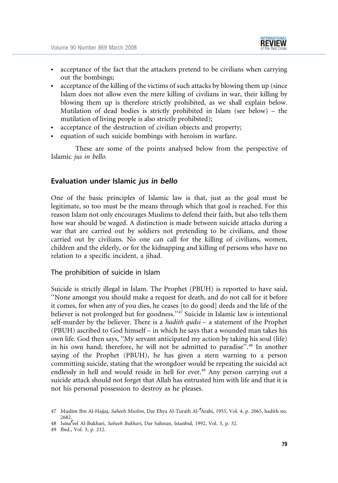

- acceptance of the fact that the attackers pretend to be civilians when carrying out the bombings;
- acceptance of the killing of the victims of such attacks by blowing them up (since Islam does not allow even the mere killing of civilians in war, their killing by blowing them up is therefore strictly prohibited, as we shall explain below. Mutilation of dead bodies is strictly prohibited in Islam (see below) – the mutilation of living people is also strictly prohibited);
- acceptance of the destruction of civilian objects and property;
- equation of such suicide bombings with heroism in warfare.

These are some of the points analysed below from the perspective of Islamic jus in bello.

## Evaluation under Islamic jus in bello

One of the basic principles of Islamic law is that, just as the goal must be legitimate, so too must be the means through which that goal is reached. For this reason Islam not only encourages Muslims to defend their faith, but also tells them how war should be waged. A distinction is made between suicide attacks during a war that are carried out by soldiers not pretending to be civilians, and those carried out by civilians. No one can call for the killing of civilians, women, children and the elderly, or for the kidnapping and killing of persons who have no relation to a specific incident, a jihad.

#### The prohibition of suicide in Islam

Suicide is strictly illegal in Islam. The Prophet (PBUH) is reported to have said, ''None amongst you should make a request for death, and do not call for it before it comes, for when any of you dies, he ceases [to do good] deeds and the life of the believer is not prolonged but for goodness."<sup>47</sup> Suicide in Islamic law is intentional self-murder by the believer. There is a *hadith qudsi* – a statement of the Prophet (PBUH) ascribed to God himself – in which he says that a wounded man takes his own life. God then says, ''My servant anticipated my action by taking his soul (life) in his own hand; therefore, he will not be admitted to paradise''.48 In another saying of the Prophet (PBUH), he has given a stern warning to a person committing suicide, stating that the wrongdoer would be repeating the suicidal act endlessly in hell and would reside in hell for ever.<sup>49</sup> Any person carrying out a suicide attack should not forget that Allah has entrusted him with life and that it is not his personal possession to destroy as he pleases.

<sup>47</sup> Muslim Ibn Al-Hajjaj, Saheeh Muslim, Dar Ehya Al-Turath Al-Arabi, 1955, Vol. 4, p. 2065, hadith no. 2682.

<sup>48</sup> Isma eel Al-Bukhari, Saheeh Bukhari, Dar Sahnun, Istanbul, 1992, Vol. 3, p. 32.

<sup>49</sup> Ibid., Vol. 3, p. 212.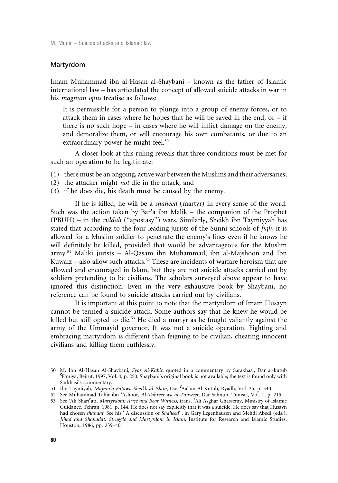#### Martyrdom

Imam Muhammad ibn al-Hasan al-Shaybani – known as the father of Islamic international law – has articulated the concept of allowed suicide attacks in war in his magnum opus treatise as follows:

It is permissible for a person to plunge into a group of enemy forces, or to attack them in cases where he hopes that he will be saved in the end, or  $-$  if there is no such hope – in cases where he will inflict damage on the enemy, and demoralize them, or will encourage his own combatants, or due to an extraordinary power he might feel.<sup>50</sup>

A closer look at this ruling reveals that three conditions must be met for such an operation to be legitimate:

- (1) there must be an ongoing, active war between the Muslims and their adversaries;
- (2) the attacker might not die in the attack; and
- (3) if he does die, his death must be caused by the enemy.

If he is killed, he will be a shaheed (martyr) in every sense of the word. Such was the action taken by Bar'a ibn Malik – the companion of the Prophet (PBUH) – in the riddah (''apostasy'') wars. Similarly, Sheikh ibn Taymiyyah has stated that according to the four leading jurists of the Sunni schools of figh, it is allowed for a Muslim soldier to penetrate the enemy's lines even if he knows he will definitely be killed, provided that would be advantageous for the Muslim army.51 Maliki jurists – Al-Qasam ibn Muhammad, ibn al-Majshoon and Ibn Kuwaiz – also allow such attacks.<sup>52</sup> These are incidents of warfare heroism that are allowed and encouraged in Islam, but they are not suicide attacks carried out by soldiers pretending to be civilians. The scholars surveyed above appear to have ignored this distinction. Even in the very exhaustive book by Shaybani, no reference can be found to suicide attacks carried out by civilians.

It is important at this point to note that the martyrdom of Imam Husayn cannot be termed a suicide attack. Some authors say that he knew he would be killed but still opted to die.<sup>53</sup> He died a martyr as he fought valiantly against the army of the Ummayid governor. It was not a suicide operation. Fighting and embracing martyrdom is different than feigning to be civilian, cheating innocent civilians and killing them ruthlessly.

<sup>50</sup> M. Ibn Al-Hasan Al-Shaybani, Syar Al-Kabir, quoted in a commentary by Sarakhasi, Dar al-kutub Elmiya, Beirut, 1997, Vol. 4, p. 250. Shaybani's original book is not available; the text is found only with Sarkhasi's commentary.

<sup>51</sup> Ibn Taymiyah, Majmu'a Fatawa Sheikh al-Islam, Dar Chalam Al-Kutub, Ryadh, Vol. 25, p. 540.

<sup>52</sup> See Muhammad Tahir ibn 'Ashoor, Al-Tahreer wa al-Tanweer, Dar Sahnun, Tunisia, Vol. 1, p. 215.

<sup>53</sup> See 'Ali Shari'ati, Martyrdom: Arise and Bear Witness, trans. <sup>"</sup>Ali Asghar Ghassemy, Ministry of Islamic Guidance, Tehran, 1981, p. 144. He does not say explicitly that it was a suicide. He does say that Husayn had chosen shahdat. See his ''A discussion of Shaheed'', in Gary Legenhausen and Mehdi Abedi (eds.), Jihad and Shahadat: Struggle and Martyrdom in Islam, Institute for Research and Islamic Studies, Houston, 1986, pp. 239–40.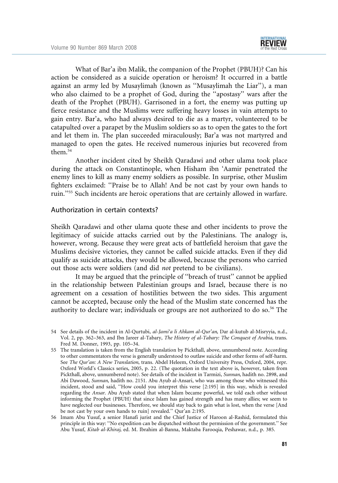What of Bar'a ibn Malik, the companion of the Prophet (PBUH)? Can his action be considered as a suicide operation or heroism? It occurred in a battle against an army led by Musaylimah (known as ''Musaylimah the Liar''), a man who also claimed to be a prophet of God, during the ''apostasy'' wars after the death of the Prophet (PBUH). Garrisoned in a fort, the enemy was putting up fierce resistance and the Muslims were suffering heavy losses in vain attempts to gain entry. Bar'a, who had always desired to die as a martyr, volunteered to be catapulted over a parapet by the Muslim soldiers so as to open the gates to the fort and let them in. The plan succeeded miraculously; Bar'a was not martyred and managed to open the gates. He received numerous injuries but recovered from them.54

Another incident cited by Sheikh Qaradawi and other ulama took place during the attack on Constantinople, when Hisham ibn 'Aamir penetrated the enemy lines to kill as many enemy soldiers as possible. In surprise, other Muslim fighters exclaimed: ''Praise be to Allah! And be not cast by your own hands to ruin."<sup>55</sup> Such incidents are heroic operations that are certainly allowed in warfare.

### Authorization in certain contexts?

Sheikh Qaradawi and other ulama quote these and other incidents to prove the legitimacy of suicide attacks carried out by the Palestinians. The analogy is, however, wrong. Because they were great acts of battlefield heroism that gave the Muslims decisive victories, they cannot be called suicide attacks. Even if they did qualify as suicide attacks, they would be allowed, because the persons who carried out those acts were soldiers (and did not pretend to be civilians).

It may be argued that the principle of ''breach of trust'' cannot be applied in the relationship between Palestinian groups and Israel, because there is no agreement on a cessation of hostilities between the two sides. This argument cannot be accepted, because only the head of the Muslim state concerned has the authority to declare war; individuals or groups are not authorized to do so.56 The

<sup>54</sup> See details of the incident in Al-Qurtubi, al-Jami'a li Ahkam al-Qur'an, Dar al-kutub al-Misryyia, n.d., Vol. 2, pp. 362–363, and Ibn Jareer al-Tabary, The History of al-Tabary: The Conquest of Arabia, trans. Fred M. Donner, 1993, pp. 105–34.

<sup>55</sup> The translation is taken from the English translation by Pickthall, above, unnumbered note. According to other commentators the verse is generally understood to outlaw suicide and other forms of self-harm. See The Qur'an: A New Translation, trans. Abdel Heleem, Oxford University Press, Oxford, 2004, repr. Oxford World's Classics series, 2005, p. 22. (The quotation in the text above is, however, taken from Pickthall, above, unnumbered note). See details of the incident in Tarmizi, Sunnan, hadith no. 2898, and Abi Dawood, Sunnan, hadith no. 2151. Abu Ayub al-Ansari, who was among those who witnessed this incident, stood and said, ''How could you interpret this verse [2:195] in this way, which is revealed regarding the Ansar. Abu Ayub stated that when Islam became powerful, we told each other without informing the Prophet (PBUH) that since Islam has gained strength and has many allies; we seem to have neglected our businesses. Therefore, we should stay back to gain what is lost, when the verse [And be not cast by your own hands to ruin] revealed.'' Qur'an 2:195.

<sup>56</sup> Imam Abu Yusuf, a senior Hanafi jurist and the Chief Justice of Haroon al-Rashid, formulated this principle in this way: ''No expedition can be dispatched without the permission of the government.'' See Abu Yusuf, Kitab al-Khiraj, ed. M. Ibrahim al-Banna, Maktaba Farooqia, Peshawar, n.d., p. 385.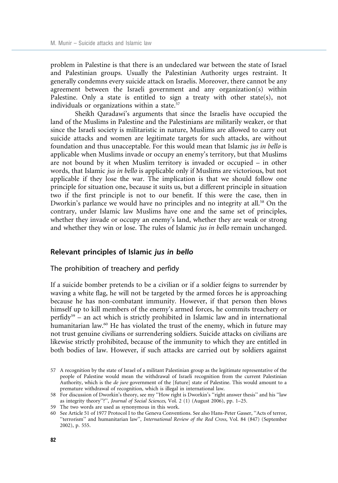problem in Palestine is that there is an undeclared war between the state of Israel and Palestinian groups. Usually the Palestinian Authority urges restraint. It generally condemns every suicide attack on Israelis. Moreover, there cannot be any agreement between the Israeli government and any organization(s) within Palestine. Only a state is entitled to sign a treaty with other state(s), not individuals or organizations within a state.<sup>57</sup>

Sheikh Qaradawi's arguments that since the Israelis have occupied the land of the Muslims in Palestine and the Palestinians are militarily weaker, or that since the Israeli society is militaristic in nature, Muslims are allowed to carry out suicide attacks and women are legitimate targets for such attacks, are without foundation and thus unacceptable. For this would mean that Islamic jus in bello is applicable when Muslims invade or occupy an enemy's territory, but that Muslims are not bound by it when Muslim territory is invaded or occupied – in other words, that Islamic jus in bello is applicable only if Muslims are victorious, but not applicable if they lose the war. The implication is that we should follow one principle for situation one, because it suits us, but a different principle in situation two if the first principle is not to our benefit. If this were the case, then in Dworkin's parlance we would have no principles and no integrity at all.<sup>58</sup> On the contrary, under Islamic law Muslims have one and the same set of principles, whether they invade or occupy an enemy's land, whether they are weak or strong and whether they win or lose. The rules of Islamic jus in bello remain unchanged.

#### Relevant principles of Islamic jus in bello

## The prohibition of treachery and perfidy

If a suicide bomber pretends to be a civilian or if a soldier feigns to surrender by waving a white flag, he will not be targeted by the armed forces he is approaching because he has non-combatant immunity. However, if that person then blows himself up to kill members of the enemy's armed forces, he commits treachery or  $perf idy<sup>59</sup>$  – an act which is strictly prohibited in Islamic law and in international humanitarian law.<sup>60</sup> He has violated the trust of the enemy, which in future may not trust genuine civilians or surrendering soldiers. Suicide attacks on civilians are likewise strictly prohibited, because of the immunity to which they are entitled in both bodies of law. However, if such attacks are carried out by soldiers against

<sup>57</sup> A recognition by the state of Israel of a militant Palestinian group as the legitimate representative of the people of Palestine would mean the withdrawal of Israeli recognition from the current Palestinian Authority, which is the de jure government of the [future] state of Palestine. This would amount to a premature withdrawal of recognition, which is illegal in international law.

<sup>58</sup> For discussion of Dworkin's theory, see my ''How right is Dworkin's ''right answer thesis'' and his ''law as integrity theory''?'', Journal of Social Sciences, Vol. 2 (1) (August 2006), pp. 1–25.

<sup>59</sup> The two words are used as synonymous in this work.

<sup>60</sup> See Article 51 of 1977 Protocol I to the Geneva Conventions. See also Hans-Peter Gasser, ''Acts of terror, ''terrorism'' and humanitarian law'', International Review of the Red Cross, Vol. 84 (847) (September 2002), p. 555.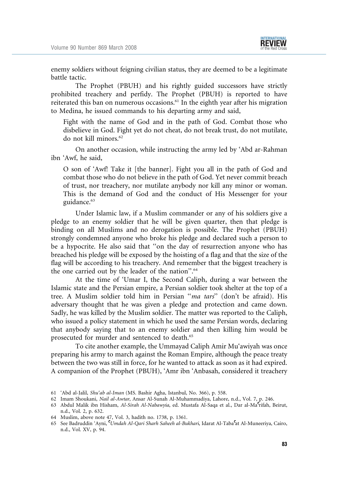

enemy soldiers without feigning civilian status, they are deemed to be a legitimate battle tactic.

The Prophet (PBUH) and his rightly guided successors have strictly prohibited treachery and perfidy. The Prophet (PBUH) is reported to have reiterated this ban on numerous occasions.<sup>61</sup> In the eighth year after his migration to Medina, he issued commands to his departing army and said,

Fight with the name of God and in the path of God. Combat those who disbelieve in God. Fight yet do not cheat, do not break trust, do not mutilate, do not kill minors.62

On another occasion, while instructing the army led by 'Abd ar-Rahman ibn 'Awf, he said,

O son of 'Awf! Take it [the banner]. Fight you all in the path of God and combat those who do not believe in the path of God. Yet never commit breach of trust, nor treachery, nor mutilate anybody nor kill any minor or woman. This is the demand of God and the conduct of His Messenger for your guidance.<sup>63</sup>

Under Islamic law, if a Muslim commander or any of his soldiers give a pledge to an enemy soldier that he will be given quarter, then that pledge is binding on all Muslims and no derogation is possible. The Prophet (PBUH) strongly condemned anyone who broke his pledge and declared such a person to be a hypocrite. He also said that ''on the day of resurrection anyone who has breached his pledge will be exposed by the hoisting of a flag and that the size of the flag will be according to his treachery. And remember that the biggest treachery is the one carried out by the leader of the nation".<sup>64</sup>

At the time of 'Umar I, the Second Caliph, during a war between the Islamic state and the Persian empire, a Persian soldier took shelter at the top of a tree. A Muslim soldier told him in Persian "ma tars" (don't be afraid). His adversary thought that he was given a pledge and protection and came down. Sadly, he was killed by the Muslim soldier. The matter was reported to the Caliph, who issued a policy statement in which he used the same Persian words, declaring that anybody saying that to an enemy soldier and then killing him would be prosecuted for murder and sentenced to death.<sup>65</sup>

To cite another example, the Ummayad Caliph Amir Mu'awiyah was once preparing his army to march against the Roman Empire, although the peace treaty between the two was still in force, for he wanted to attack as soon as it had expired. A companion of the Prophet (PBUH), 'Amr ibn 'Anbasah, considered it treachery

<sup>61 &#</sup>x27;Abd al-Jalil, Shu'ab al-Iman (MS. Bashir Agha, Istanbul, No. 366), p. 558.

<sup>62</sup> Imam Shoukani, Nail al-Awtar, Ansar Al-Sunah Al-Muhammadiya, Lahore, n.d., Vol. 7, p. 246.

<sup>63</sup> Abdul Malik ibn Hisham, Al-Sirah Al-Nabawyia, ed. Mustafa Al-Saqa et al., Dar al-Ma rifah, Beirut, n.d., Vol. 2, p. 632.

<sup>64</sup> Muslim, above note 47, Vol. 3, hadith no. 1738, p. 1361.

<sup>65</sup> See Badruddin 'Ayni, "Umdah Al-Qari Sharh Saheeh al-Bukhari, Idarat Al-Taba at Al-Muneeriya, Cairo, n.d., Vol. XV, p. 94.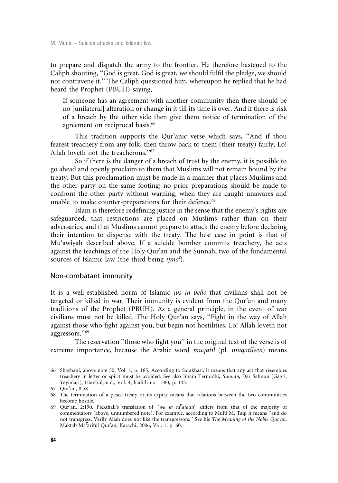to prepare and dispatch the army to the frontier. He therefore hastened to the Caliph shouting, ''God is great, God is great, we should fulfil the pledge, we should not contravene it.'' The Caliph questioned him, whereupon he replied that he had heard the Prophet (PBUH) saying,

If someone has an agreement with another community then there should be no [unilateral] alteration or change in it till its time is over. And if there is risk of a breach by the other side then give them notice of termination of the agreement on reciprocal basis.<sup>66</sup>

This tradition supports the Qur'anic verse which says, ''And if thou fearest treachery from any folk, then throw back to them (their treaty) fairly, Lo! Allah loveth not the treacherous.''67

So if there is the danger of a breach of trust by the enemy, it is possible to go ahead and openly proclaim to them that Muslims will not remain bound by the treaty. But this proclamation must be made in a manner that places Muslims and the other party on the same footing; no prior preparations should be made to confront the other party without warning, when they are caught unawares and unable to make counter-preparations for their defence.<sup>68</sup>

Islam is therefore redefining justice in the sense that the enemy's rights are safeguarded, that restrictions are placed on Muslims rather than on their adversaries, and that Muslims cannot prepare to attack the enemy before declaring their intention to dispense with the treaty. The best case in point is that of Mu'awiyah described above. If a suicide bomber commits treachery, he acts against the teachings of the Holy Qur'an and the Sunnah, two of the fundamental sources of Islamic law (the third being  $ijma^c$ ).

### Non-combatant immunity

It is a well-established norm of Islamic *jus in bello* that civilians shall not be targeted or killed in war. Their immunity is evident from the Qur'an and many traditions of the Prophet (PBUH). As a general principle, in the event of war civilians must not be killed. The Holy Qur'an says, ''Fight in the way of Allah against those who fight against you, but begin not hostilities. Lo! Allah loveth not aggressors.''69

The reservation ''those who fight you'' in the original text of the verse is of extreme importance, because the Arabic word *muqatil* (pl. *muqatileen*) means

<sup>66</sup> Shaybani, above note 50, Vol. 1, p. 185. According to Sarakhasi, it means that any act that resembles treachery in letter or spirit must be avoided. See also Imam Termidhi, Sunnan, Dar Sahnun (Gagri, Yayinlari), Istanbul, n.d., Vol. 4, hadith no. 1580, p. 143.

<sup>67</sup> Qur'an, 8:58.

<sup>68</sup> The termination of a peace treaty or its expiry means that relations between the two communities become hostile.

<sup>69</sup> Qur'an, 2:190. Pickthall's translation of "wa la ta atadu" differs from that of the majority of commentators (above, unnumbered note). For example, according to Mufti M. Taqi it means ''and do not transgress. Verily Allah does not like the transgressors.'' See his The Meaning of the Noble Qur'an, Maktab Ma ariful Qur'an, Karachi, 2006, Vol. 1, p. 60.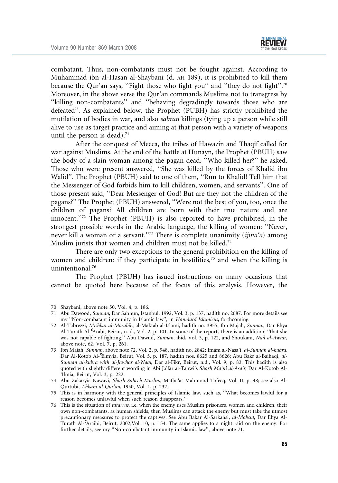combatant. Thus, non-combatants must not be fought against. According to Muhammad ibn al-Hasan al-Shaybani (d. AH 189), it is prohibited to kill them because the Qur'an says, "Fight those who fight you" and "they do not fight".<sup>70</sup> Moreover, in the above verse the Qur'an commands Muslims not to transgress by ''killing non-combatants'' and ''behaving degradingly towards those who are defeated''. As explained below, the Prophet (PUBH) has strictly prohibited the mutilation of bodies in war, and also sabran killings (tying up a person while still alive to use as target practice and aiming at that person with a variety of weapons until the person is dead). $71$ 

After the conquest of Mecca, the tribes of Hawazin and Thaqif called for war against Muslims. At the end of the battle at Hunayn, the Prophet (PBUH) saw the body of a slain woman among the pagan dead. ''Who killed her?'' he asked. Those who were present answered, ''She was killed by the forces of Khalid ibn Walid''. The Prophet (PBUH) said to one of them, ''Run to Khalid! Tell him that the Messenger of God forbids him to kill children, women, and servants''. One of those present said, ''Dear Messenger of God! But are they not the children of the pagans?'' The Prophet (PBUH) answered, ''Were not the best of you, too, once the children of pagans? All children are born with their true nature and are innocent.''72 The Prophet (PBUH) is also reported to have prohibited, in the strongest possible words in the Arabic language, the killing of women: ''Never, never kill a woman or a servant."<sup>73</sup> There is complete unanimity ( $ijma'a$ ) among Muslim jurists that women and children must not be killed.<sup>74</sup>

There are only two exceptions to the general prohibition on the killing of women and children: if they participate in hostilities,<sup>75</sup> and when the killing is unintentional.76

The Prophet (PBUH) has issued instructions on many occasions that cannot be quoted here because of the focus of this analysis. However, the

<sup>70</sup> Shaybani, above note 50, Vol. 4, p. 186.

<sup>71</sup> Abu Dawood, Sunnan, Dar Sahnun, Istanbul, 1992, Vol. 3, p. 137, hadith no. 2687. For more details see my ''Non-combatant immunity in Islamic law'', in Hamdard Islamicus, forthcoming.

<sup>72</sup> Al-Tabrezzi, Mishkat al-Masabih, al-Maktab al-Islami, hadith no. 3955; Ibn Majah, Sunnan, Dar Ehya Al-Turath Al-Carabi, Beirut, n. d., Vol. 2, p. 101. In some of the reports there is an addition: "that she was not capable of fighting." Abu Dawud, Sunnan, ibid, Vol. 3, p. 122, and Shoukani, Nail al-Awtar, above note, 62, Vol. 7, p. 261.

<sup>73</sup> Ibn Majah, Sunnan, above note 72, Vol. 2, p. 948, hadith no. 2842; Imam al-Nasa'i, al-Sunnan al-kubra, Dar Al-Kotob Al- Elmyia, Beirut, Vol. 5, p. 187, hadith nos. 8625 and 8626; Abu Bakr al-Baihaqi, al-Sunnan al-kubra with al-Jawhar al-Naqi, Dar al-Fikr, Beirut, n.d., Vol. 9, p. 83. This hadith is also quoted with slightly different wording in Abi Ja'far al-Tahwi's Sharh Ma'ni al-Asa'r, Dar Al-Kotob Al-'Ilmia, Beirut, Vol. 3, p. 222.

<sup>74</sup> Abu Zakaryia Nawavi, Sharh Saheeh Muslim, Matba'at Mahmood Tofeeq, Vol. II, p. 48; see also Al-Qurtubi, Ahkam al-Qur'an, 1950, Vol. 1, p. 232.

<sup>75</sup> This is in harmony with the general principles of Islamic law, such as, ''What becomes lawful for a reason becomes unlawful when such reason disappears.''

<sup>76</sup> This is the situation of tatarrus, i.e. when the enemy uses Muslim prisoners, women and children, their own non-combatants, as human shields, then Muslims can attack the enemy but must take the utmost precautionary measures to protect the captives. See Abu Bakar Al-Sarkahsi, al-Mabsut, Dar Ehya Al-Turath Al- Araibi, Beirut, 2002,Vol. 10, p. 154. The same applies to a night raid on the enemy. For further details, see my ''Non-combatant immunity in Islamic law'', above note 71.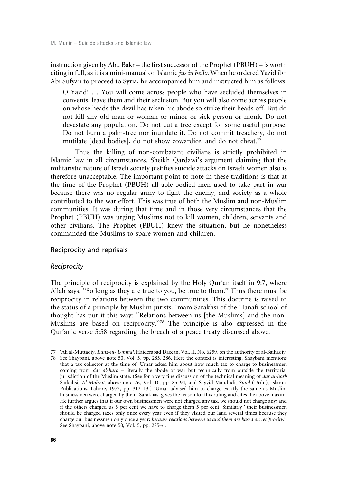instruction given by Abu Bakr – the first successor of the Prophet (PBUH) – is worth citing in full, as it is a mini-manual on Islamic jus in bello. When he ordered Yazid ibn Abi Sufyan to proceed to Syria, he accompanied him and instructed him as follows:

O Yazid! … You will come across people who have secluded themselves in convents; leave them and their seclusion. But you will also come across people on whose heads the devil has taken his abode so strike their heads off. But do not kill any old man or woman or minor or sick person or monk. Do not devastate any population. Do not cut a tree except for some useful purpose. Do not burn a palm-tree nor inundate it. Do not commit treachery, do not mutilate [dead bodies], do not show cowardice, and do not cheat.<sup>77</sup>

Thus the killing of non-combatant civilians is strictly prohibited in Islamic law in all circumstances. Sheikh Qardawi's argument claiming that the militaristic nature of Israeli society justifies suicide attacks on Israeli women also is therefore unacceptable. The important point to note in these traditions is that at the time of the Prophet (PBUH) all able-bodied men used to take part in war because there was no regular army to fight the enemy, and society as a whole contributed to the war effort. This was true of both the Muslim and non-Muslim communities. It was during that time and in those very circumstances that the Prophet (PBUH) was urging Muslims not to kill women, children, servants and other civilians. The Prophet (PBUH) knew the situation, but he nonetheless commanded the Muslims to spare women and children.

#### Reciprocity and reprisals

#### Reciprocity

The principle of reciprocity is explained by the Holy Qur'an itself in 9:7, where Allah says, ''So long as they are true to you, be true to them.'' Thus there must be reciprocity in relations between the two communities. This doctrine is raised to the status of a principle by Muslim jurists. Imam Sarakhsi of the Hanafi school of thought has put it this way: ''Relations between us [the Muslims] and the non-Muslims are based on reciprocity.''78 The principle is also expressed in the Qur'anic verse 5:58 regarding the breach of a peace treaty discussed above.

<sup>77 &#</sup>x27;Ali al-Muttaqiy, Kanz-ul-'Ummal, Haiderabad Daccan, Vol. II, No. 6259, on the authority of al-Baihaqiy. 78 See Shaybani, above note 50, Vol. 5, pp. 285, 286. Here the context is interesting. Shaybani mentions that a tax collector at the time of 'Umar asked him about how much tax to charge to businessmen coming from *dar al-harb* – literally the abode of war but technically from outside the territorial jurisdiction of the Muslim state. (See for a very fine discussion of the technical meaning of dar al-harb Sarkahsi, Al-Mabsut, above note 76, Vol. 10, pp. 85–94, and Sayyid Maududi, Suud (Urdu), Islamic Publications, Lahore, 1973, pp. 312–13.) 'Umar advised him to charge exactly the same as Muslim businessmen were charged by them. Sarakhasi gives the reason for this ruling and cites the above maxim. He further argues that if our own businessmen were not charged any tax, we should not charge any; and if the others charged us 5 per cent we have to charge them 5 per cent. Similarly ''their businessmen should be charged taxes only once every year even if they visited our land several times because they charge our businessmen only once a year; because relations between us and them are based on reciprocity.'' See Shaybani, above note 50, Vol. 5, pp. 285–6.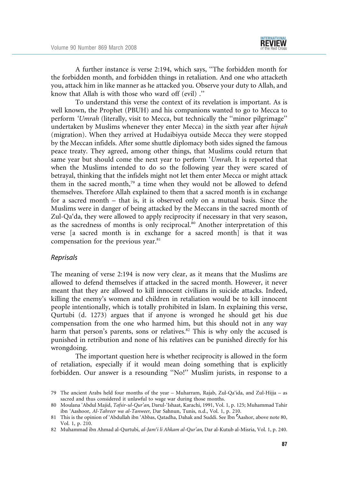

A further instance is verse 2:194, which says, ''The forbidden month for the forbidden month, and forbidden things in retaliation. And one who attacketh you, attack him in like manner as he attacked you. Observe your duty to Allah, and know that Allah is with those who ward off (evil) .''

To understand this verse the context of its revelation is important. As is well known, the Prophet (PBUH) and his companions wanted to go to Mecca to perform 'Umrah (literally, visit to Mecca, but technically the ''minor pilgrimage'' undertaken by Muslims whenever they enter Mecca) in the sixth year after hijrah (migration). When they arrived at Hudaibiyya outside Mecca they were stopped by the Meccan infidels. After some shuttle diplomacy both sides signed the famous peace treaty. They agreed, among other things, that Muslims could return that same year but should come the next year to perform 'Umrah. It is reported that when the Muslims intended to do so the following year they were scared of betrayal, thinking that the infidels might not let them enter Mecca or might attack them in the sacred month,<sup>79</sup> a time when they would not be allowed to defend themselves. Therefore Allah explained to them that a sacred month is in exchange for a sacred month – that is, it is observed only on a mutual basis. Since the Muslims were in danger of being attacked by the Meccans in the sacred month of Zul-Qa'da, they were allowed to apply reciprocity if necessary in that very season, as the sacredness of months is only reciprocal.<sup>80</sup> Another interpretation of this verse [a sacred month is in exchange for a sacred month] is that it was compensation for the previous year.<sup>81</sup>

#### Reprisals

The meaning of verse 2:194 is now very clear, as it means that the Muslims are allowed to defend themselves if attacked in the sacred month. However, it never meant that they are allowed to kill innocent civilians in suicide attacks. Indeed, killing the enemy's women and children in retaliation would be to kill innocent people intentionally, which is totally prohibited in Islam. In explaining this verse, Qurtubi (d. 1273) argues that if anyone is wronged he should get his due compensation from the one who harmed him, but this should not in any way harm that person's parents, sons or relatives.<sup>82</sup> This is why only the accused is punished in retribution and none of his relatives can be punished directly for his wrongdoing.

The important question here is whether reciprocity is allowed in the form of retaliation, especially if it would mean doing something that is explicitly forbidden. Our answer is a resounding ''No!'' Muslim jurists, in response to a

<sup>79</sup> The ancient Arabs held four months of the year – Muharram, Rajab, Zul-Qa'ida, and Zul-Hijja – as sacred and thus considered it unlawful to wage war during those months.

<sup>80</sup> Moulana 'Abdul Majid, Tafsir-ul-Qur'an, Darul-'Ishaat, Karachi, 1991, Vol. 1, p. 125; Muhammad Tahir ibn 'Aashoor, Al-Tahreer wa al-Tanweer, Dar Sahnun, Tunis, n.d., Vol. 1, p. 210.

<sup>81</sup> This is the opinion of 'Abdullah ibn 'Abbas, Qatadha, Dahak and Suddi. See Ibn Aashor, above note 80, Vol. 1, p. 210.

<sup>82</sup> Muhammad ibn Ahmad al-Qurtubi, al-Jam'i li Ahkam al-Qur'an, Dar al-Kutub al-Misria, Vol. 1, p. 240.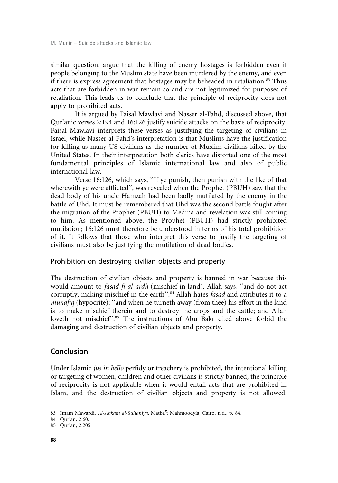similar question, argue that the killing of enemy hostages is forbidden even if people belonging to the Muslim state have been murdered by the enemy, and even if there is express agreement that hostages may be beheaded in retaliation.<sup>83</sup> Thus acts that are forbidden in war remain so and are not legitimized for purposes of retaliation. This leads us to conclude that the principle of reciprocity does not apply to prohibited acts.

It is argued by Faisal Mawlavi and Nasser al-Fahd, discussed above, that Qur'anic verses 2:194 and 16:126 justify suicide attacks on the basis of reciprocity. Faisal Mawlavi interprets these verses as justifying the targeting of civilians in Israel, while Nasser al-Fahd's interpretation is that Muslims have the justification for killing as many US civilians as the number of Muslim civilians killed by the United States. In their interpretation both clerics have distorted one of the most fundamental principles of Islamic international law and also of public international law.

Verse 16:126, which says, ''If ye punish, then punish with the like of that wherewith ye were afflicted'', was revealed when the Prophet (PBUH) saw that the dead body of his uncle Hamzah had been badly mutilated by the enemy in the battle of Uhd. It must be remembered that Uhd was the second battle fought after the migration of the Prophet (PBUH) to Medina and revelation was still coming to him. As mentioned above, the Prophet (PBUH) had strictly prohibited mutilation; 16:126 must therefore be understood in terms of his total prohibition of it. It follows that those who interpret this verse to justify the targeting of civilians must also be justifying the mutilation of dead bodies.

## Prohibition on destroying civilian objects and property

The destruction of civilian objects and property is banned in war because this would amount to *fasad fi al-ardh* (mischief in land). Allah says, "and do not act corruptly, making mischief in the earth".<sup>84</sup> Allah hates *fasad* and attributes it to a munafiq (hypocrite): "and when he turneth away (from thee) his effort in the land is to make mischief therein and to destroy the crops and the cattle; and Allah loveth not mischief".<sup>85</sup> The instructions of Abu Bakr cited above forbid the damaging and destruction of civilian objects and property.

## Conclusion

Under Islamic *jus in bello* perfidy or treachery is prohibited, the intentional killing or targeting of women, children and other civilians is strictly banned, the principle of reciprocity is not applicable when it would entail acts that are prohibited in Islam, and the destruction of civilian objects and property is not allowed.

84 Qur'an, 2:60.

<sup>83</sup> Imam Mawardi, Al-Ahkam al-Sultaniya, Matba<sup>c</sup>t Mahmoodyia, Cairo, n.d., p. 84.

<sup>85</sup> Qur'an, 2:205.